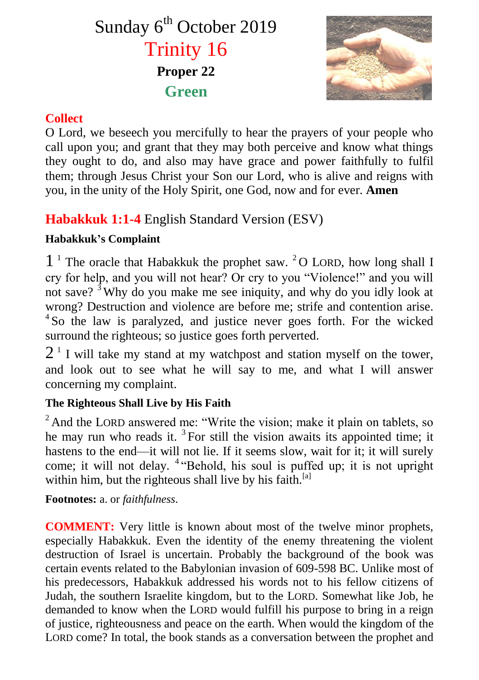# Sunday 6<sup>th</sup> October 2019 Trinity 16 **Proper 22 Green**



### **Collect**

O Lord, we beseech you mercifully to hear the prayers of your people who call upon you; and grant that they may both perceive and know what things they ought to do, and also may have grace and power faithfully to fulfil them; through Jesus Christ your Son our Lord, who is alive and reigns with you, in the unity of the Holy Spirit, one God, now and for ever. **Amen**

# **Habakkuk 1:1-4** English Standard Version (ESV)

# **Habakkuk's Complaint**

1<sup>1</sup> The oracle that Habakkuk the prophet saw. <sup>2</sup>O LORD, how long shall I cry for help, and you will not hear? Or cry to you "Violence!" and you will not save?  $3$  Why do you make me see iniquity, and why do you idly look at wrong? Destruction and violence are before me; strife and contention arise. <sup>4</sup>So the law is paralyzed, and justice never goes forth. For the wicked surround the righteous; so justice goes forth perverted.

 $2<sup>1</sup>$  I will take my stand at my watchpost and station myself on the tower, and look out to see what he will say to me, and what I will answer concerning my complaint.

# **The Righteous Shall Live by His Faith**

 $2$  And the LORD answered me: "Write the vision; make it plain on tablets, so he may run who reads it.  ${}^{3}$  For still the vision awaits its appointed time; it hastens to the end—it will not lie. If it seems slow, wait for it; it will surely come; it will not delay. <sup>4</sup> "Behold, his soul is puffed up; it is not upright within him, but the righteous shall live by his faith.<sup>[a]</sup>

**Footnotes:** a. or *faithfulness*.

**COMMENT:** Very little is known about most of the twelve minor prophets, especially Habakkuk. Even the identity of the enemy threatening the violent destruction of Israel is uncertain. Probably the background of the book was certain events related to the Babylonian invasion of 609-598 BC. Unlike most of his predecessors, Habakkuk addressed his words not to his fellow citizens of Judah, the southern Israelite kingdom, but to the LORD. Somewhat like Job, he demanded to know when the LORD would fulfill his purpose to bring in a reign of justice, righteousness and peace on the earth. When would the kingdom of the LORD come? In total, the book stands as a conversation between the prophet and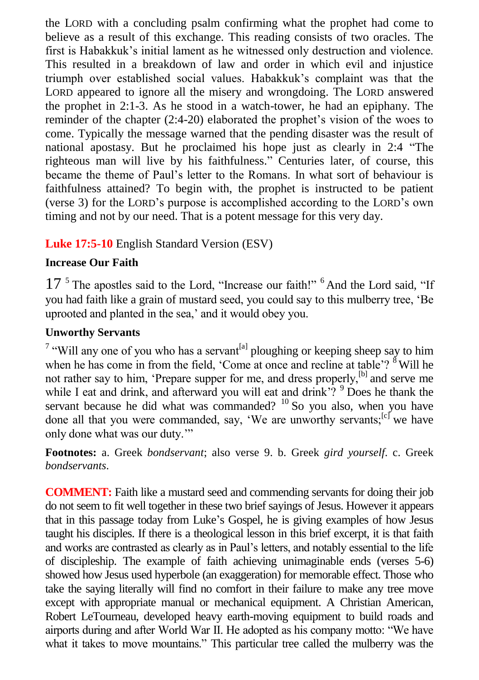the LORD with a concluding psalm confirming what the prophet had come to believe as a result of this exchange. This reading consists of two oracles. The first is Habakkuk's initial lament as he witnessed only destruction and violence. This resulted in a breakdown of law and order in which evil and injustice triumph over established social values. Habakkuk's complaint was that the LORD appeared to ignore all the misery and wrongdoing. The LORD answered the prophet in 2:1-3. As he stood in a watch-tower, he had an epiphany. The reminder of the chapter (2:4-20) elaborated the prophet's vision of the woes to come. Typically the message warned that the pending disaster was the result of national apostasy. But he proclaimed his hope just as clearly in 2:4 "The righteous man will live by his faithfulness." Centuries later, of course, this became the theme of Paul's letter to the Romans. In what sort of behaviour is faithfulness attained? To begin with, the prophet is instructed to be patient (verse 3) for the LORD's purpose is accomplished according to the LORD's own timing and not by our need. That is a potent message for this very day.

#### **Luke 17:5-10** English Standard Version (ESV)

#### **Increase Our Faith**

17<sup>5</sup> The apostles said to the Lord, "Increase our faith!" <sup>6</sup> And the Lord said, "If you had faith like a grain of mustard seed, you could say to this mulberry tree, 'Be uprooted and planted in the sea,' and it would obey you.

#### **Unworthy Servants**

<sup>7</sup> "Will any one of you who has a servant<sup>[a]</sup> ploughing or keeping sheep say to him when he has come in from the field. 'Come at once and recline at table'?  $8$ <sup>8</sup> Will he not rather say to him, 'Prepare supper for me, and dress properly,<sup>[b]</sup> and serve me while I eat and drink, and afterward you will eat and drink'?  $9^9$  Does he thank the servant because he did what was commanded? <sup>10</sup> So you also, when you have done all that you were commanded, say, 'We are unworthy servants;<sup>[c]</sup> we have only done what was our duty.'"

**Footnotes:** a. Greek *bondservant*; also verse 9. b. Greek *gird yourself*. c. Greek *bondservants*.

**COMMENT:** Faith like a mustard seed and commending servants for doing their job do not seem to fit well together in these two brief sayings of Jesus. However it appears that in this passage today from Luke's Gospel, he is giving examples of how Jesus taught his disciples. If there is a theological lesson in this brief excerpt, it is that faith and works are contrasted as clearly as in Paul's letters, and notably essential to the life of discipleship. The example of faith achieving unimaginable ends (verses 5-6) showed how Jesus used hyperbole (an exaggeration) for memorable effect. Those who take the saying literally will find no comfort in their failure to make any tree move except with appropriate manual or mechanical equipment. A Christian American, Robert LeTourneau, developed heavy earth-moving equipment to build roads and airports during and after World War II. He adopted as his company motto: "We have what it takes to move mountains." This particular tree called the mulberry was the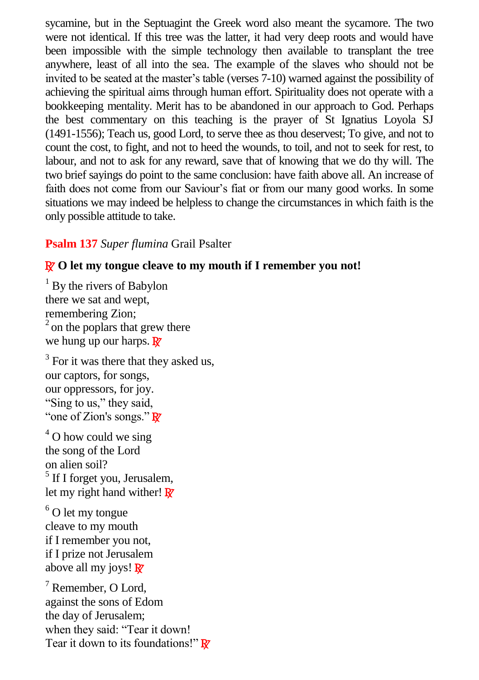sycamine, but in the Septuagint the Greek word also meant the sycamore. The two were not identical. If this tree was the latter, it had very deep roots and would have been impossible with the simple technology then available to transplant the tree anywhere, least of all into the sea. The example of the slaves who should not be invited to be seated at the master's table (verses 7-10) warned against the possibility of achieving the spiritual aims through human effort. Spirituality does not operate with a bookkeeping mentality. Merit has to be abandoned in our approach to God. Perhaps the best commentary on this teaching is the prayer of St Ignatius Loyola SJ (1491-1556); Teach us, good Lord, to serve thee as thou deservest; To give, and not to count the cost, to fight, and not to heed the wounds, to toil, and not to seek for rest, to labour, and not to ask for any reward, save that of knowing that we do thy will. The two brief sayings do point to the same conclusion: have faith above all. An increase of faith does not come from our Saviour's fiat or from our many good works. In some situations we may indeed be helpless to change the circumstances in which faith is the only possible attitude to take.

#### **Psalm 137** *Super flumina* Grail Psalter

#### R **O let my tongue cleave to my mouth if I remember you not!**

 $1$  By the rivers of Babylon there we sat and wept, remembering Zion;  $<sup>2</sup>$  on the poplars that grew there</sup> we hung up our harps.  $\mathbb{R}^7$ 

<sup>3</sup> For it was there that they asked us, our captors, for songs, our oppressors, for joy. "Sing to us," they said, "one of Zion's songs." R

 $4$  O how could we sing the song of the Lord on alien soil? <sup>5</sup> If I forget you, Jerusalem, let my right hand wither!  $\mathbb{R}^7$ 

 $6$  O let my tongue cleave to my mouth if I remember you not, if I prize not Jerusalem above all my joys!  $\mathbb{R}^7$ 

<sup>7</sup> Remember, O Lord, against the sons of Edom the day of Jerusalem; when they said: "Tear it down! Tear it down to its foundations!"  $\mathbb{R}^7$